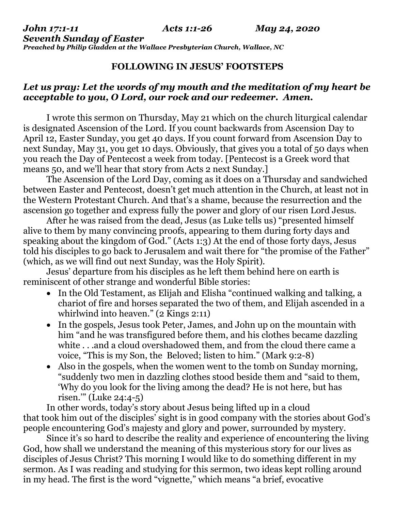*Seventh Sunday of Easter Preached by Philip Gladden at the Wallace Presbyterian Church, Wallace, NC*

## **FOLLOWING IN JESUS' FOOTSTEPS**

#### *Let us pray: Let the words of my mouth and the meditation of my heart be acceptable to you, O Lord, our rock and our redeemer. Amen.*

I wrote this sermon on Thursday, May 21 which on the church liturgical calendar is designated Ascension of the Lord. If you count backwards from Ascension Day to April 12, Easter Sunday, you get 40 days. If you count forward from Ascension Day to next Sunday, May 31, you get 10 days. Obviously, that gives you a total of 50 days when you reach the Day of Pentecost a week from today. [Pentecost is a Greek word that means 50, and we'll hear that story from Acts 2 next Sunday.]

The Ascension of the Lord Day, coming as it does on a Thursday and sandwiched between Easter and Pentecost, doesn't get much attention in the Church, at least not in the Western Protestant Church. And that's a shame, because the resurrection and the ascension go together and express fully the power and glory of our risen Lord Jesus.

After he was raised from the dead, Jesus (as Luke tells us) "presented himself alive to them by many convincing proofs, appearing to them during forty days and speaking about the kingdom of God." (Acts 1:3) At the end of those forty days, Jesus told his disciples to go back to Jerusalem and wait there for "the promise of the Father" (which, as we will find out next Sunday, was the Holy Spirit).

Jesus' departure from his disciples as he left them behind here on earth is reminiscent of other strange and wonderful Bible stories:

- In the Old Testament, as Elijah and Elisha "continued walking and talking, a chariot of fire and horses separated the two of them, and Elijah ascended in a whirlwind into heaven."  $(2 \text{ Kings } 2:11)$
- In the gospels, Jesus took Peter, James, and John up on the mountain with him "and he was transfigured before them, and his clothes became dazzling white . . .and a cloud overshadowed them, and from the cloud there came a voice, "This is my Son, the Beloved; listen to him." (Mark 9:2-8)
- Also in the gospels, when the women went to the tomb on Sunday morning, "suddenly two men in dazzling clothes stood beside them and "said to them, 'Why do you look for the living among the dead? He is not here, but has risen.'" (Luke 24:4-5)

In other words, today's story about Jesus being lifted up in a cloud that took him out of the disciples' sight is in good company with the stories about God's people encountering God's majesty and glory and power, surrounded by mystery.

Since it's so hard to describe the reality and experience of encountering the living God, how shall we understand the meaning of this mysterious story for our lives as disciples of Jesus Christ? This morning I would like to do something different in my sermon. As I was reading and studying for this sermon, two ideas kept rolling around in my head. The first is the word "vignette," which means "a brief, evocative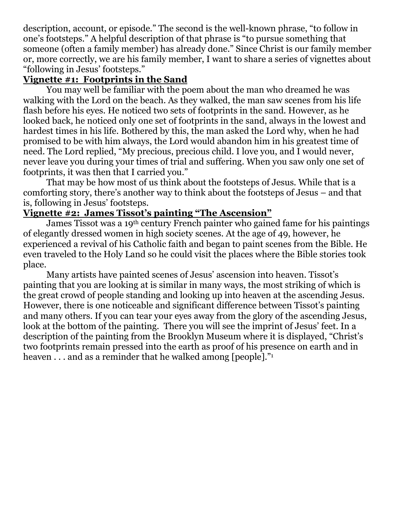description, account, or episode." The second is the well-known phrase, "to follow in one's footsteps." A helpful description of that phrase is "to pursue something that someone (often a family member) has already done." Since Christ is our family member or, more correctly, we are his family member, I want to share a series of vignettes about "following in Jesus' footsteps."

#### **Vignette #1: Footprints in the Sand**

You may well be familiar with the poem about the man who dreamed he was walking with the Lord on the beach. As they walked, the man saw scenes from his life flash before his eyes. He noticed two sets of footprints in the sand. However, as he looked back, he noticed only one set of footprints in the sand, always in the lowest and hardest times in his life. Bothered by this, the man asked the Lord why, when he had promised to be with him always, the Lord would abandon him in his greatest time of need. The Lord replied, "My precious, precious child. I love you, and I would never, never leave you during your times of trial and suffering. When you saw only one set of footprints, it was then that I carried you."

That may be how most of us think about the footsteps of Jesus. While that is a comforting story, there's another way to think about the footsteps of Jesus – and that is, following in Jesus' footsteps.

# **Vignette #2: James Tissot's painting "The Ascension"**

James Tissot was a 19th century French painter who gained fame for his paintings of elegantly dressed women in high society scenes. At the age of 49, however, he experienced a revival of his Catholic faith and began to paint scenes from the Bible. He even traveled to the Holy Land so he could visit the places where the Bible stories took place.

Many artists have painted scenes of Jesus' ascension into heaven. Tissot's painting that you are looking at is similar in many ways, the most striking of which is the great crowd of people standing and looking up into heaven at the ascending Jesus. However, there is one noticeable and significant difference between Tissot's painting and many others. If you can tear your eyes away from the glory of the ascending Jesus, look at the bottom of the painting. There you will see the imprint of Jesus' feet. In a description of the painting from the Brooklyn Museum where it is displayed, "Christ's two footprints remain pressed into the earth as proof of his presence on earth and in heaven . . . and as a reminder that he walked among [people]."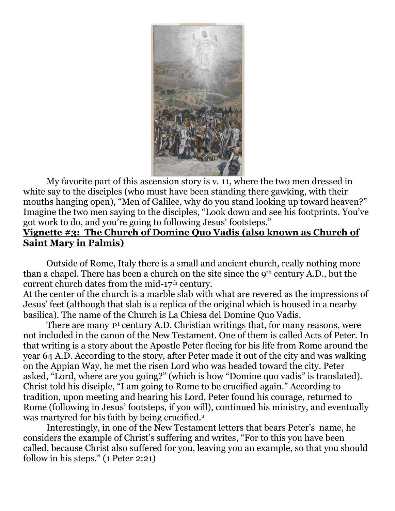

My favorite part of this ascension story is v. 11, where the two men dressed in white say to the disciples (who must have been standing there gawking, with their mouths hanging open), "Men of Galilee, why do you stand looking up toward heaven?" Imagine the two men saying to the disciples, "Look down and see his footprints. You've got work to do, and you're going to following Jesus' footsteps."

#### **Vignette #3: The Church of Domine Quo Vadis (also known as Church of Saint Mary in Palmis)**

Outside of Rome, Italy there is a small and ancient church, really nothing more than a chapel. There has been a church on the site since the 9th century A.D., but the current church dates from the mid-17<sup>th</sup> century.

At the center of the church is a marble slab with what are revered as the impressions of Jesus' feet (although that slab is a replica of the original which is housed in a nearby basilica). The name of the Church is La Chiesa del Domine Quo Vadis.

There are many 1<sup>st</sup> century A.D. Christian writings that, for many reasons, were not included in the canon of the New Testament. One of them is called Acts of Peter. In that writing is a story about the Apostle Peter fleeing for his life from Rome around the year 64 A.D. According to the story, after Peter made it out of the city and was walking on the Appian Way, he met the risen Lord who was headed toward the city. Peter asked, "Lord, where are you going?" (which is how "Domine quo vadis" is translated). Christ told his disciple, "I am going to Rome to be crucified again." According to tradition, upon meeting and hearing his Lord, Peter found his courage, returned to Rome (following in Jesus' footsteps, if you will), continued his ministry, and eventually was martyred for his faith by being crucified.<sup>2</sup>

Interestingly, in one of the New Testament letters that bears Peter's name, he considers the example of Christ's suffering and writes, "For to this you have been called, because Christ also suffered for you, leaving you an example, so that you should follow in his steps." (1 Peter 2:21)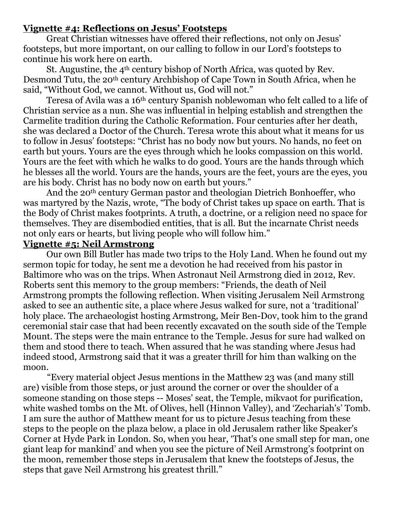#### **Vignette #4: Reflections on Jesus' Footsteps**

Great Christian witnesses have offered their reflections, not only on Jesus' footsteps, but more important, on our calling to follow in our Lord's footsteps to continue his work here on earth.

St. Augustine, the 4<sup>th</sup> century bishop of North Africa, was quoted by Rev. Desmond Tutu, the 20th century Archbishop of Cape Town in South Africa, when he said, "Without God, we cannot. Without us, God will not."

Teresa of Avila was a 16th century Spanish noblewoman who felt called to a life of Christian service as a nun. She was influential in helping establish and strengthen the Carmelite tradition during the Catholic Reformation. Four centuries after her death, she was declared a Doctor of the Church. Teresa wrote this about what it means for us to follow in Jesus' footsteps: "Christ has no body now but yours. No hands, no feet on earth but yours. Yours are the eyes through which he looks compassion on this world. Yours are the feet with which he walks to do good. Yours are the hands through which he blesses all the world. Yours are the hands, yours are the feet, yours are the eyes, you are his body. Christ has no body now on earth but yours."

And the 20th century German pastor and theologian Dietrich Bonhoeffer, who was martyred by the Nazis, wrote, "The body of Christ takes up space on earth. That is the Body of Christ makes footprints. A truth, a doctrine, or a religion need no space for themselves. They are disembodied entities, that is all. But the incarnate Christ needs not only ears or hearts, but living people who will follow him."

#### **Vignette #5: Neil Armstrong**

Our own Bill Butler has made two trips to the Holy Land. When he found out my sermon topic for today, he sent me a devotion he had received from his pastor in Baltimore who was on the trips. When Astronaut Neil Armstrong died in 2012, Rev. Roberts sent this memory to the group members: "Friends, the death of Neil Armstrong prompts the following reflection. When visiting Jerusalem Neil Armstrong asked to see an authentic site, a place where Jesus walked for sure, not a 'traditional' holy place. The archaeologist hosting Armstrong, Meir Ben-Dov, took him to the grand ceremonial stair case that had been recently excavated on the south side of the Temple Mount. The steps were the main entrance to the Temple. Jesus for sure had walked on them and stood there to teach. When assured that he was standing where Jesus had indeed stood, Armstrong said that it was a greater thrill for him than walking on the moon.

 "Every material object Jesus mentions in the Matthew 23 was (and many still are) visible from those steps, or just around the corner or over the shoulder of a someone standing on those steps -- Moses' seat, the Temple, mikvaot for purification, white washed tombs on the Mt. of Olives, hell (Hinnon Valley), and 'Zechariah's' Tomb. I am sure the author of Matthew meant for us to picture Jesus teaching from these steps to the people on the plaza below, a place in old Jerusalem rather like Speaker's Corner at Hyde Park in London. So, when you hear, 'That's one small step for man, one giant leap for mankind' and when you see the picture of Neil Armstrong's footprint on the moon, remember those steps in Jerusalem that knew the footsteps of Jesus, the steps that gave Neil Armstrong his greatest thrill."